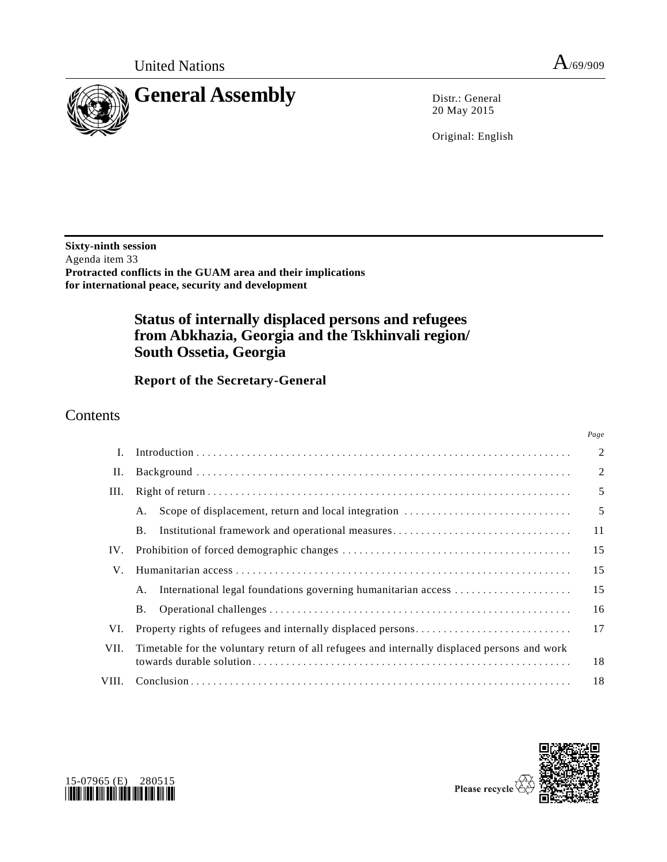

*Page*



20 May 2015

Original: English

**Sixty-ninth session** Agenda item 33 **Protracted conflicts in the GUAM area and their implications for international peace, security and development**

# **Status of internally displaced persons and refugees from Abkhazia, Georgia and the Tskhinvali region/ South Ossetia, Georgia**

**Report of the Secretary-General** 

# **Contents**

| I.    |                                                                                              | $\overline{2}$ |
|-------|----------------------------------------------------------------------------------------------|----------------|
| П.    |                                                                                              | $\overline{2}$ |
| III.  |                                                                                              | 5              |
|       | Scope of displacement, return and local integration<br>A.                                    | 5              |
|       | Institutional framework and operational measures<br><b>B.</b>                                | 11             |
| IV.   |                                                                                              | 15             |
| V.    |                                                                                              | 15             |
|       | International legal foundations governing humanitarian access<br>А.                          | 15             |
|       | Β.                                                                                           | 16             |
| VI.   |                                                                                              | 17             |
| VII.  | Timetable for the voluntary return of all refugees and internally displaced persons and work | 18             |
| VIII. |                                                                                              | 18             |





Please recycle  $\overline{\mathbf{C}}$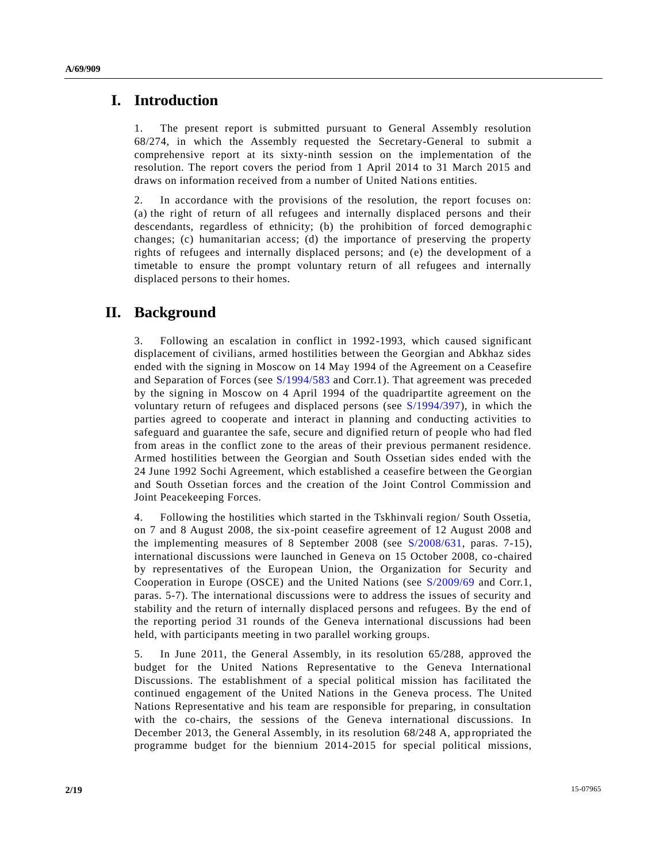### **I. Introduction**

1. The present report is submitted pursuant to General Assembly resolution 68/274, in which the Assembly requested the Secretary-General to submit a comprehensive report at its sixty-ninth session on the implementation of the resolution. The report covers the period from 1 April 2014 to 31 March 2015 and draws on information received from a number of United Nations entities.

2. In accordance with the provisions of the resolution, the report focuses on: (a) the right of return of all refugees and internally displaced persons and their descendants, regardless of ethnicity; (b) the prohibition of forced demographic changes; (c) humanitarian access; (d) the importance of preserving the property rights of refugees and internally displaced persons; and (e) the development of a timetable to ensure the prompt voluntary return of all refugees and internally displaced persons to their homes.

## **II. Background**

3. Following an escalation in conflict in 1992-1993, which caused significant displacement of civilians, armed hostilities between the Georgian and Abkhaz sides ended with the signing in Moscow on 14 May 1994 of the Agreement on a Ceasefire and Separation of Forces (see [S/1994/583](http://undocs.org/S/1994/583) and Corr.1). That agreement was preceded by the signing in Moscow on 4 April 1994 of the quadripartite agreement on the voluntary return of refugees and displaced persons (see [S/1994/397\)](http://undocs.org/S/1994/397), in which the parties agreed to cooperate and interact in planning and conducting activities to safeguard and guarantee the safe, secure and dignified return of people who had fled from areas in the conflict zone to the areas of their previous permanent residence. Armed hostilities between the Georgian and South Ossetian sides ended with the 24 June 1992 Sochi Agreement, which established a ceasefire between the Georgian and South Ossetian forces and the creation of the Joint Control Commission and Joint Peacekeeping Forces.

4. Following the hostilities which started in the Tskhinvali region/ South Ossetia, on 7 and 8 August 2008, the six-point ceasefire agreement of 12 August 2008 and the implementing measures of 8 September 2008 (see [S/2008/631,](http://undocs.org/S/2008/631) paras. 7-15), international discussions were launched in Geneva on 15 October 2008, co -chaired by representatives of the European Union, the Organization for Security and Cooperation in Europe (OSCE) and the United Nations (see [S/2009/69](http://undocs.org/S/2009/69) and Corr.1, paras. 5-7). The international discussions were to address the issues of security and stability and the return of internally displaced persons and refugees. By the end of the reporting period 31 rounds of the Geneva international discussions had been held, with participants meeting in two parallel working groups.

5. In June 2011, the General Assembly, in its resolution 65/288, approved the budget for the United Nations Representative to the Geneva International Discussions. The establishment of a special political mission has facilitated the continued engagement of the United Nations in the Geneva process. The United Nations Representative and his team are responsible for preparing, in consultation with the co-chairs, the sessions of the Geneva international discussions. In December 2013, the General Assembly, in its resolution 68/248 A, appropriated the programme budget for the biennium 2014-2015 for special political missions,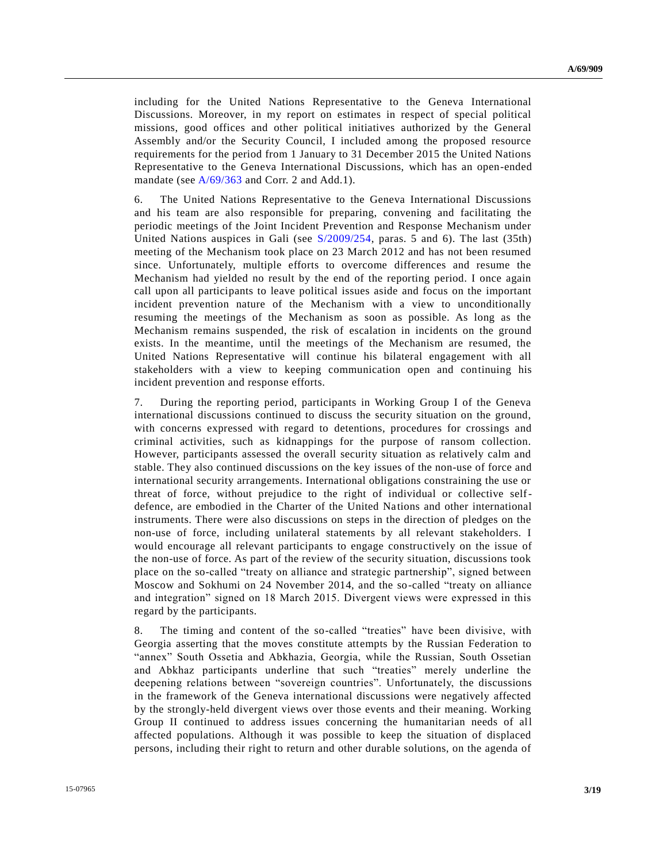including for the United Nations Representative to the Geneva International Discussions. Moreover, in my report on estimates in respect of special political missions, good offices and other political initiatives authorized by the General Assembly and/or the Security Council, I included among the proposed resource requirements for the period from 1 January to 31 December 2015 the United Nations Representative to the Geneva International Discussions, which has an open-ended mandate (see [A/69/363](http://undocs.org/A/69/363) and Corr. 2 and Add.1).

6. The United Nations Representative to the Geneva International Discussions and his team are also responsible for preparing, convening and facilitating the periodic meetings of the Joint Incident Prevention and Response Mechanism under United Nations auspices in Gali (see [S/2009/254,](http://undocs.org/S/2009/254) paras. 5 and 6). The last (35th) meeting of the Mechanism took place on 23 March 2012 and has not been resumed since. Unfortunately, multiple efforts to overcome differences and resume the Mechanism had yielded no result by the end of the reporting period. I once again call upon all participants to leave political issues aside and focus on the important incident prevention nature of the Mechanism with a view to unconditionally resuming the meetings of the Mechanism as soon as possible. As long as the Mechanism remains suspended, the risk of escalation in incidents on the ground exists. In the meantime, until the meetings of the Mechanism are resumed, the United Nations Representative will continue his bilateral engagement with all stakeholders with a view to keeping communication open and continuing his incident prevention and response efforts.

7. During the reporting period, participants in Working Group I of the Geneva international discussions continued to discuss the security situation on the ground, with concerns expressed with regard to detentions, procedures for crossings and criminal activities, such as kidnappings for the purpose of ransom collection. However, participants assessed the overall security situation as relatively calm and stable. They also continued discussions on the key issues of the non-use of force and international security arrangements. International obligations constraining the use or threat of force, without prejudice to the right of individual or collective selfdefence, are embodied in the Charter of the United Nations and other international instruments. There were also discussions on steps in the direction of pledges on the non-use of force, including unilateral statements by all relevant stakeholders. I would encourage all relevant participants to engage constructively on the issue of the non-use of force. As part of the review of the security situation, discussions took place on the so-called "treaty on alliance and strategic partnership", signed between Moscow and Sokhumi on 24 November 2014, and the so-called "treaty on alliance and integration" signed on 18 March 2015. Divergent views were expressed in this regard by the participants.

8. The timing and content of the so-called "treaties" have been divisive, with Georgia asserting that the moves constitute attempts by the Russian Federation to "annex" South Ossetia and Abkhazia, Georgia, while the Russian, South Ossetian and Abkhaz participants underline that such "treaties" merely underline the deepening relations between "sovereign countries". Unfortunately, the discussions in the framework of the Geneva international discussions were negatively affected by the strongly-held divergent views over those events and their meaning. Working Group II continued to address issues concerning the humanitarian needs of all affected populations. Although it was possible to keep the situation of displaced persons, including their right to return and other durable solutions, on the agenda of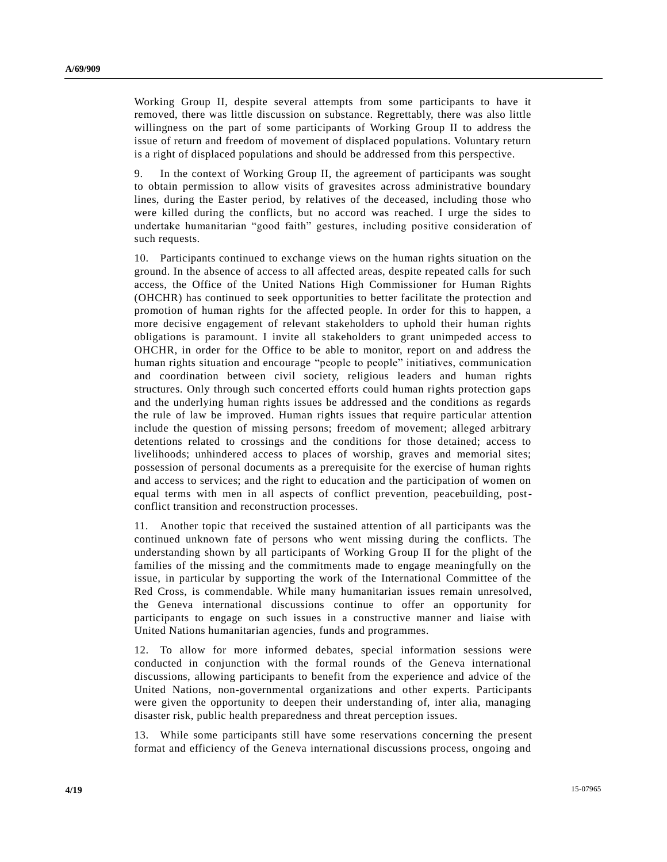Working Group II, despite several attempts from some participants to have it removed, there was little discussion on substance. Regrettably, there was also little willingness on the part of some participants of Working Group II to address the issue of return and freedom of movement of displaced populations. Voluntary return is a right of displaced populations and should be addressed from this perspective.

9. In the context of Working Group II, the agreement of participants was sought to obtain permission to allow visits of gravesites across administrative boundary lines, during the Easter period, by relatives of the deceased, including those who were killed during the conflicts, but no accord was reached. I urge the sides to undertake humanitarian "good faith" gestures, including positive consideration of such requests.

10. Participants continued to exchange views on the human rights situation on the ground. In the absence of access to all affected areas, despite repeated calls for such access, the Office of the United Nations High Commissioner for Human Rights (OHCHR) has continued to seek opportunities to better facilitate the protection and promotion of human rights for the affected people. In order for this to happen, a more decisive engagement of relevant stakeholders to uphold their human rights obligations is paramount. I invite all stakeholders to grant unimpeded access to OHCHR, in order for the Office to be able to monitor, report on and address the human rights situation and encourage "people to people" initiatives, communication and coordination between civil society, religious leaders and human rights structures. Only through such concerted efforts could human rights protection gaps and the underlying human rights issues be addressed and the conditions as regards the rule of law be improved. Human rights issues that require particular attention include the question of missing persons; freedom of movement; alleged arbitrary detentions related to crossings and the conditions for those detained; access to livelihoods; unhindered access to places of worship, graves and memorial sites; possession of personal documents as a prerequisite for the exercise of human rights and access to services; and the right to education and the participation of women on equal terms with men in all aspects of conflict prevention, peacebuilding, postconflict transition and reconstruction processes.

11. Another topic that received the sustained attention of all participants was the continued unknown fate of persons who went missing during the conflicts. The understanding shown by all participants of Working Group II for the plight of the families of the missing and the commitments made to engage meaningfully on the issue, in particular by supporting the work of the International Committee of the Red Cross, is commendable. While many humanitarian issues remain unresolved, the Geneva international discussions continue to offer an opportunity for participants to engage on such issues in a constructive manner and liaise with United Nations humanitarian agencies, funds and programmes.

12. To allow for more informed debates, special information sessions were conducted in conjunction with the formal rounds of the Geneva international discussions, allowing participants to benefit from the experience and advice of the United Nations, non-governmental organizations and other experts. Participants were given the opportunity to deepen their understanding of, inter alia, managing disaster risk, public health preparedness and threat perception issues.

13. While some participants still have some reservations concerning the present format and efficiency of the Geneva international discussions process, ongoing and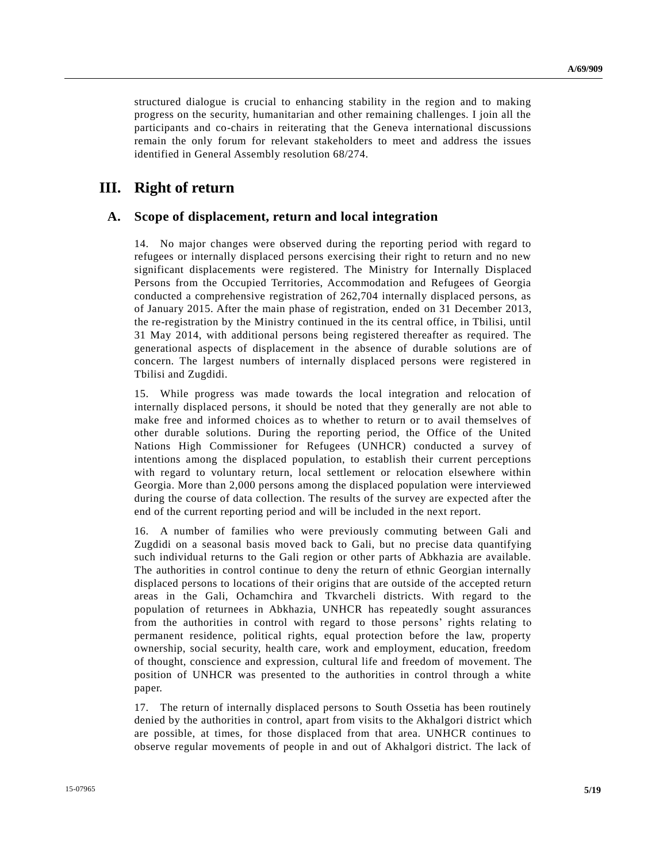structured dialogue is crucial to enhancing stability in the region and to making progress on the security, humanitarian and other remaining challenges. I join all the participants and co-chairs in reiterating that the Geneva international discussions remain the only forum for relevant stakeholders to meet and address the issues identified in General Assembly resolution 68/274.

## **III. Right of return**

#### **A. Scope of displacement, return and local integration**

14. No major changes were observed during the reporting period with regard to refugees or internally displaced persons exercising their right to return and no new significant displacements were registered. The Ministry for Internally Displaced Persons from the Occupied Territories, Accommodation and Refugees of Georgia conducted a comprehensive registration of 262,704 internally displaced persons, as of January 2015. After the main phase of registration, ended on 31 December 2013, the re-registration by the Ministry continued in the its central office, in Tbilisi, until 31 May 2014, with additional persons being registered thereafter as required. The generational aspects of displacement in the absence of durable solutions are of concern. The largest numbers of internally displaced persons were registered in Tbilisi and Zugdidi.

15. While progress was made towards the local integration and relocation of internally displaced persons, it should be noted that they generally are not able to make free and informed choices as to whether to return or to avail themselves of other durable solutions. During the reporting period, the Office of the United Nations High Commissioner for Refugees (UNHCR) conducted a survey of intentions among the displaced population, to establish their current perceptions with regard to voluntary return, local settlement or relocation elsewhere within Georgia. More than 2,000 persons among the displaced population were interviewed during the course of data collection. The results of the survey are expected after the end of the current reporting period and will be included in the next report.

16. A number of families who were previously commuting between Gali and Zugdidi on a seasonal basis moved back to Gali, but no precise data quantifying such individual returns to the Gali region or other parts of Abkhazia are available. The authorities in control continue to deny the return of ethnic Georgian internally displaced persons to locations of their origins that are outside of the accepted return areas in the Gali, Ochamchira and Tkvarcheli districts. With regard to the population of returnees in Abkhazia, UNHCR has repeatedly sought assurances from the authorities in control with regard to those persons' rights relating to permanent residence, political rights, equal protection before the law, property ownership, social security, health care, work and employment, education, freedom of thought, conscience and expression, cultural life and freedom of movement. The position of UNHCR was presented to the authorities in control through a white paper.

17. The return of internally displaced persons to South Ossetia has been routinely denied by the authorities in control, apart from visits to the Akhalgori district which are possible, at times, for those displaced from that area. UNHCR continues to observe regular movements of people in and out of Akhalgori district. The lack of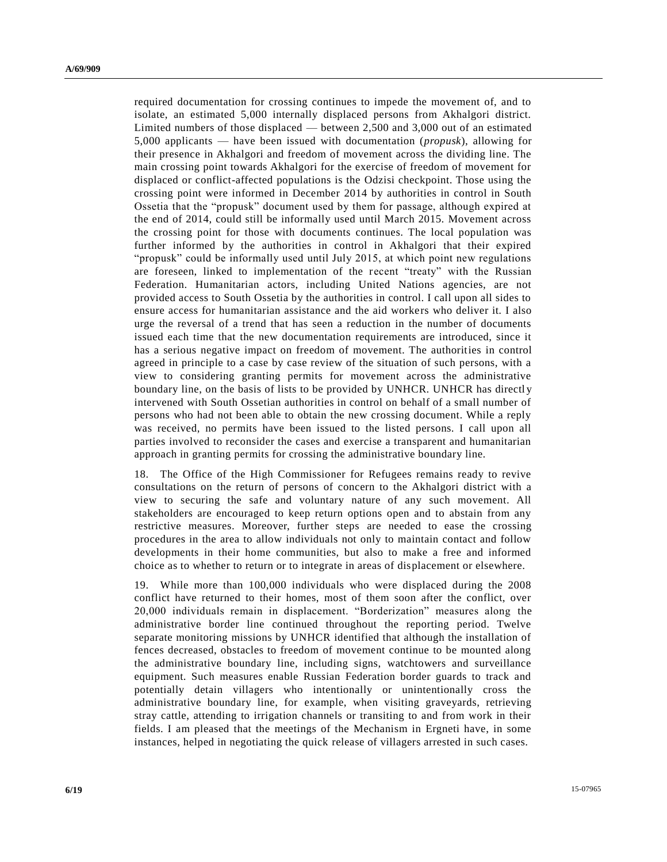required documentation for crossing continues to impede the movement of, and to isolate, an estimated 5,000 internally displaced persons from Akhalgori district. Limited numbers of those displaced — between 2,500 and 3,000 out of an estimated 5,000 applicants — have been issued with documentation (*propusk*), allowing for their presence in Akhalgori and freedom of movement across the dividing line. The main crossing point towards Akhalgori for the exercise of freedom of movement for displaced or conflict-affected populations is the Odzisi checkpoint. Those using the crossing point were informed in December 2014 by authorities in control in South Ossetia that the "propusk" document used by them for passage, although expired at the end of 2014, could still be informally used until March 2015. Movement across the crossing point for those with documents continues. The local population was further informed by the authorities in control in Akhalgori that their expired "propusk" could be informally used until July 2015, at which point new regulations are foreseen, linked to implementation of the recent "treaty" with the Russian Federation. Humanitarian actors, including United Nations agencies, are not provided access to South Ossetia by the authorities in control. I call upon all sides to ensure access for humanitarian assistance and the aid workers who deliver it. I also urge the reversal of a trend that has seen a reduction in the number of documents issued each time that the new documentation requirements are introduced, since it has a serious negative impact on freedom of movement. The authorities in control agreed in principle to a case by case review of the situation of such persons, with a view to considering granting permits for movement across the administrative boundary line, on the basis of lists to be provided by UNHCR. UNHCR has directly intervened with South Ossetian authorities in control on behalf of a small number of persons who had not been able to obtain the new crossing document. While a reply was received, no permits have been issued to the listed persons. I call upon all parties involved to reconsider the cases and exercise a transparent and humanitarian approach in granting permits for crossing the administrative boundary line.

18. The Office of the High Commissioner for Refugees remains ready to revive consultations on the return of persons of concern to the Akhalgori district with a view to securing the safe and voluntary nature of any such movement. All stakeholders are encouraged to keep return options open and to abstain from any restrictive measures. Moreover, further steps are needed to ease the crossing procedures in the area to allow individuals not only to maintain contact and follow developments in their home communities, but also to make a free and informed choice as to whether to return or to integrate in areas of displacement or elsewhere.

19. While more than 100,000 individuals who were displaced during the 2008 conflict have returned to their homes, most of them soon after the conflict, over 20,000 individuals remain in displacement. "Borderization" measures along the administrative border line continued throughout the reporting period. Twelve separate monitoring missions by UNHCR identified that although the installation of fences decreased, obstacles to freedom of movement continue to be mounted along the administrative boundary line, including signs, watchtowers and surveillance equipment. Such measures enable Russian Federation border guards to track and potentially detain villagers who intentionally or unintentionally cross the administrative boundary line, for example, when visiting graveyards, retrieving stray cattle, attending to irrigation channels or transiting to and from work in their fields. I am pleased that the meetings of the Mechanism in Ergneti have, in some instances, helped in negotiating the quick release of villagers arrested in such cases.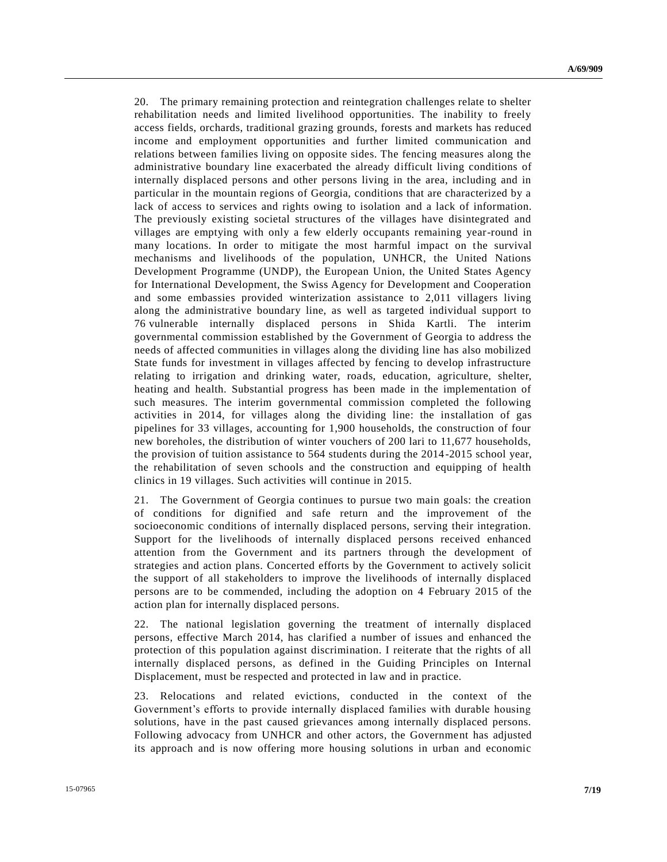20. The primary remaining protection and reintegration challenges relate to shelter rehabilitation needs and limited livelihood opportunities. The inability to freely access fields, orchards, traditional grazing grounds, forests and markets has reduced income and employment opportunities and further limited communication and relations between families living on opposite sides. The fencing measures along the administrative boundary line exacerbated the already difficult living conditions of internally displaced persons and other persons living in the area, including and in particular in the mountain regions of Georgia, conditions that are characterized by a lack of access to services and rights owing to isolation and a lack of information. The previously existing societal structures of the villages have disintegrated and villages are emptying with only a few elderly occupants remaining year-round in many locations. In order to mitigate the most harmful impact on the survival mechanisms and livelihoods of the population, UNHCR, the United Nations Development Programme (UNDP), the European Union, the United States Agency for International Development, the Swiss Agency for Development and Cooperation and some embassies provided winterization assistance to 2,011 villagers living along the administrative boundary line, as well as targeted individual support to 76 vulnerable internally displaced persons in Shida Kartli. The interim governmental commission established by the Government of Georgia to address the needs of affected communities in villages along the dividing line has also mobilized State funds for investment in villages affected by fencing to develop infrastructure relating to irrigation and drinking water, roads, education, agriculture, shelter, heating and health. Substantial progress has been made in the implementation of such measures. The interim governmental commission completed the following activities in 2014, for villages along the dividing line: the installation of gas pipelines for 33 villages, accounting for 1,900 households, the construction of four new boreholes, the distribution of winter vouchers of 200 lari to 11,677 households, the provision of tuition assistance to 564 students during the 2014-2015 school year, the rehabilitation of seven schools and the construction and equipping of health clinics in 19 villages. Such activities will continue in 2015.

21. The Government of Georgia continues to pursue two main goals: the creation of conditions for dignified and safe return and the improvement of the socioeconomic conditions of internally displaced persons, serving their integration. Support for the livelihoods of internally displaced persons received enhanced attention from the Government and its partners through the development of strategies and action plans. Concerted efforts by the Government to actively solicit the support of all stakeholders to improve the livelihoods of internally displaced persons are to be commended, including the adoption on 4 February 2015 of the action plan for internally displaced persons.

22. The national legislation governing the treatment of internally displaced persons, effective March 2014, has clarified a number of issues and enhanced the protection of this population against discrimination. I reiterate that the rights of all internally displaced persons, as defined in the Guiding Principles on Internal Displacement, must be respected and protected in law and in practice.

23. Relocations and related evictions, conducted in the context of the Government's efforts to provide internally displaced families with durable housing solutions, have in the past caused grievances among internally displaced persons. Following advocacy from UNHCR and other actors, the Government has adjusted its approach and is now offering more housing solutions in urban and economic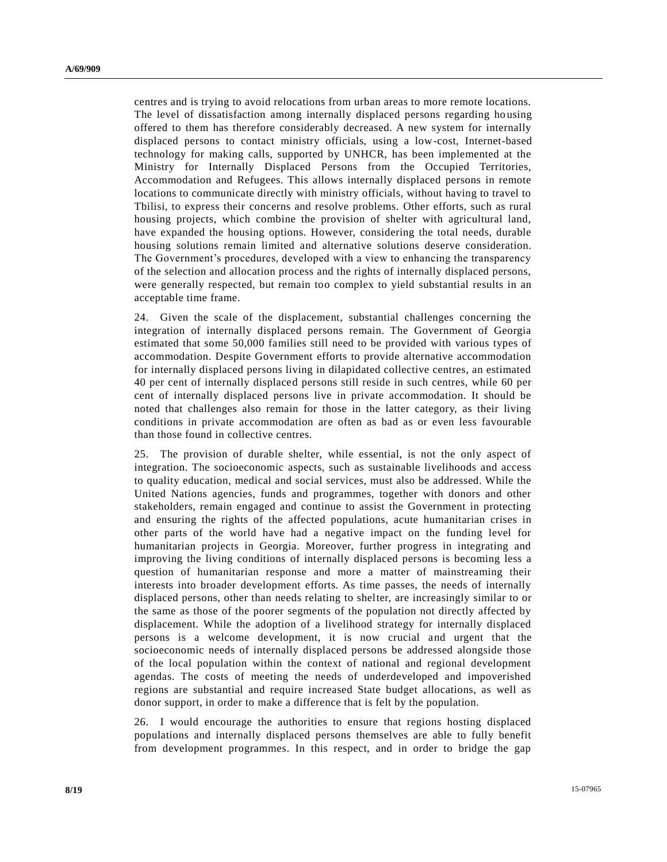centres and is trying to avoid relocations from urban areas to more remote locations. The level of dissatisfaction among internally displaced persons regarding housing offered to them has therefore considerably decreased. A new system for internally displaced persons to contact ministry officials, using a low-cost, Internet-based technology for making calls, supported by UNHCR, has been implemented at the Ministry for Internally Displaced Persons from the Occupied Territories, Accommodation and Refugees. This allows internally displaced persons in remote locations to communicate directly with ministry officials, without having to travel to Tbilisi, to express their concerns and resolve problems. Other efforts, such as rural housing projects, which combine the provision of shelter with agricultural land, have expanded the housing options. However, considering the total needs, durable housing solutions remain limited and alternative solutions deserve consideration. The Government's procedures, developed with a view to enhancing the transparency of the selection and allocation process and the rights of internally displaced persons, were generally respected, but remain too complex to yield substantial results in an acceptable time frame.

24. Given the scale of the displacement, substantial challenges concerning the integration of internally displaced persons remain. The Government of Georgia estimated that some 50,000 families still need to be provided with various types of accommodation. Despite Government efforts to provide alternative accommodation for internally displaced persons living in dilapidated collective centres, an estimated 40 per cent of internally displaced persons still reside in such centres, while 60 per cent of internally displaced persons live in private accommodation. It should be noted that challenges also remain for those in the latter category, as their living conditions in private accommodation are often as bad as or even less favourable than those found in collective centres.

25. The provision of durable shelter, while essential, is not the only aspect of integration. The socioeconomic aspects, such as sustainable livelihoods and access to quality education, medical and social services, must also be addressed. While the United Nations agencies, funds and programmes, together with donors and other stakeholders, remain engaged and continue to assist the Government in protecting and ensuring the rights of the affected populations, acute humanitarian crises in other parts of the world have had a negative impact on the funding level for humanitarian projects in Georgia. Moreover, further progress in integrating and improving the living conditions of internally displaced persons is becoming less a question of humanitarian response and more a matter of mainstreaming their interests into broader development efforts. As time passes, the needs of internally displaced persons, other than needs relating to shelter, are increasingly similar to or the same as those of the poorer segments of the population not directly affected by displacement. While the adoption of a livelihood strategy for internally displaced persons is a welcome development, it is now crucial and urgent that the socioeconomic needs of internally displaced persons be addressed alongside those of the local population within the context of national and regional development agendas. The costs of meeting the needs of underdeveloped and impoverished regions are substantial and require increased State budget allocations, as well as donor support, in order to make a difference that is felt by the population.

26. I would encourage the authorities to ensure that regions hosting displaced populations and internally displaced persons themselves are able to fully benefit from development programmes. In this respect, and in order to bridge the gap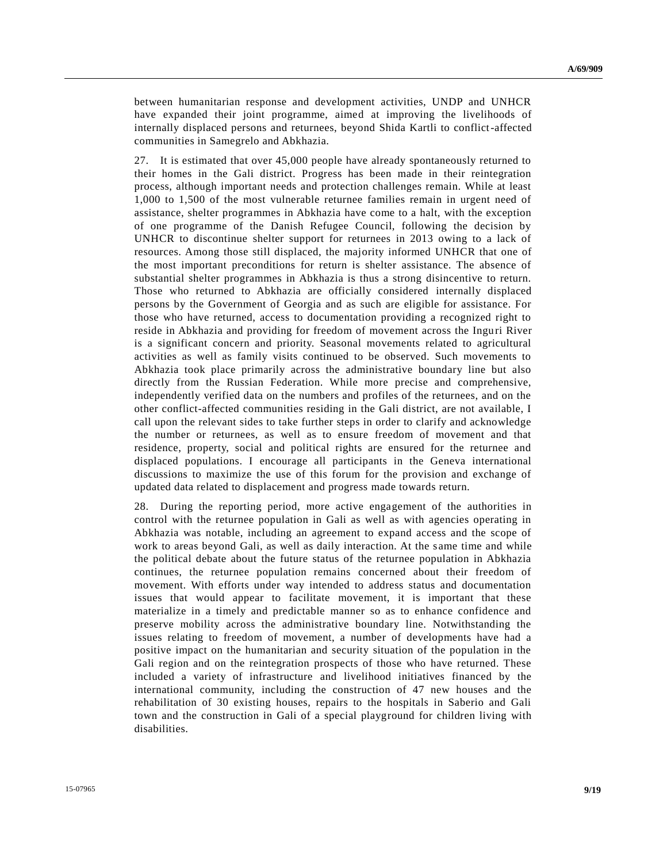between humanitarian response and development activities, UNDP and UNHCR have expanded their joint programme, aimed at improving the livelihoods of internally displaced persons and returnees, beyond Shida Kartli to conflict-affected communities in Samegrelo and Abkhazia.

27. It is estimated that over 45,000 people have already spontaneously returned to their homes in the Gali district. Progress has been made in their reintegration process, although important needs and protection challenges remain. While at least 1,000 to 1,500 of the most vulnerable returnee families remain in urgent need of assistance, shelter programmes in Abkhazia have come to a halt, with the exception of one programme of the Danish Refugee Council, following the decision by UNHCR to discontinue shelter support for returnees in 2013 owing to a lack of resources. Among those still displaced, the majority informed UNHCR that one of the most important preconditions for return is shelter assistance. The absence of substantial shelter programmes in Abkhazia is thus a strong disincentive to return. Those who returned to Abkhazia are officially considered internally displaced persons by the Government of Georgia and as such are eligible for assistance. For those who have returned, access to documentation providing a recognized right to reside in Abkhazia and providing for freedom of movement across the Inguri River is a significant concern and priority. Seasonal movements related to agricultural activities as well as family visits continued to be observed. Such movements to Abkhazia took place primarily across the administrative boundary line but also directly from the Russian Federation. While more precise and comprehensive, independently verified data on the numbers and profiles of the returnees, and on the other conflict-affected communities residing in the Gali district, are not available, I call upon the relevant sides to take further steps in order to clarify and acknowledge the number or returnees, as well as to ensure freedom of movement and that residence, property, social and political rights are ensured for the returnee and displaced populations. I encourage all participants in the Geneva international discussions to maximize the use of this forum for the provision and exchange of updated data related to displacement and progress made towards return.

28. During the reporting period, more active engagement of the authorities in control with the returnee population in Gali as well as with agencies operating in Abkhazia was notable, including an agreement to expand access and the scope of work to areas beyond Gali, as well as daily interaction. At the same time and while the political debate about the future status of the returnee population in Abkhazia continues, the returnee population remains concerned about their freedom of movement. With efforts under way intended to address status and documentation issues that would appear to facilitate movement, it is important that these materialize in a timely and predictable manner so as to enhance confidence and preserve mobility across the administrative boundary line. Notwithstanding the issues relating to freedom of movement, a number of developments have had a positive impact on the humanitarian and security situation of the population in the Gali region and on the reintegration prospects of those who have returned. These included a variety of infrastructure and livelihood initiatives financed by the international community, including the construction of 47 new houses and the rehabilitation of 30 existing houses, repairs to the hospitals in Saberio and Gali town and the construction in Gali of a special playground for children living with disabilities.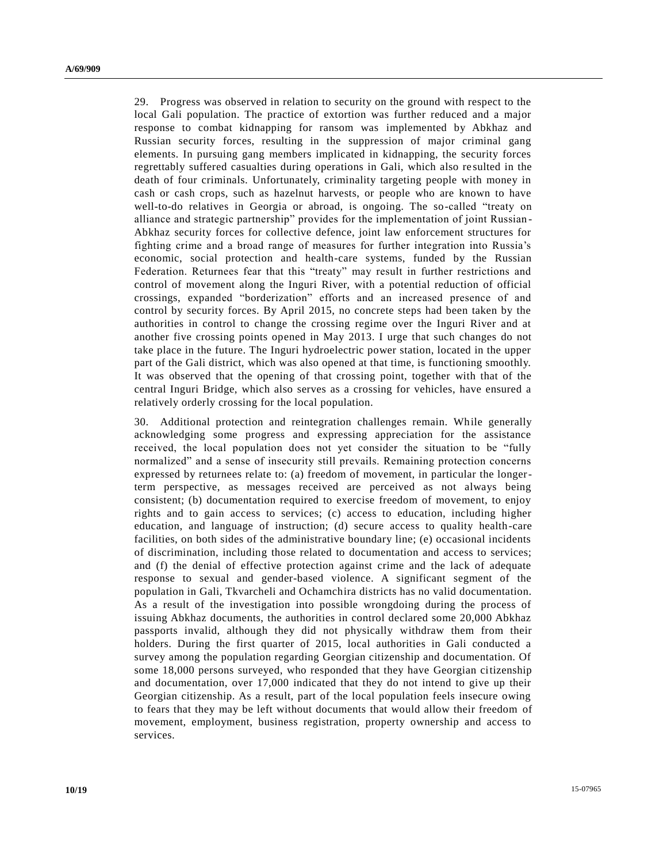29. Progress was observed in relation to security on the ground with respect to the local Gali population. The practice of extortion was further reduced and a major response to combat kidnapping for ransom was implemented by Abkhaz and Russian security forces, resulting in the suppression of major criminal gang elements. In pursuing gang members implicated in kidnapping, the security forces regrettably suffered casualties during operations in Gali, which also re sulted in the death of four criminals. Unfortunately, criminality targeting people with money in cash or cash crops, such as hazelnut harvests, or people who are known to have well-to-do relatives in Georgia or abroad, is ongoing. The so-called "treaty on alliance and strategic partnership" provides for the implementation of joint Russian - Abkhaz security forces for collective defence, joint law enforcement structures for fighting crime and a broad range of measures for further integration into Russia's economic, social protection and health-care systems, funded by the Russian Federation. Returnees fear that this "treaty" may result in further restrictions and control of movement along the Inguri River, with a potential reduction of official crossings, expanded "borderization" efforts and an increased presence of and control by security forces. By April 2015, no concrete steps had been taken by the authorities in control to change the crossing regime over the Inguri River and at another five crossing points opened in May 2013. I urge that such changes do not take place in the future. The Inguri hydroelectric power station, located in the upper part of the Gali district, which was also opened at that time, is functioning smoothly. It was observed that the opening of that crossing point, together with that of the central Inguri Bridge, which also serves as a crossing for vehicles, have ensured a relatively orderly crossing for the local population.

30. Additional protection and reintegration challenges remain. While generally acknowledging some progress and expressing appreciation for the assistance received, the local population does not yet consider the situation to be "fully normalized" and a sense of insecurity still prevails. Remaining protection concerns expressed by returnees relate to: (a) freedom of movement, in particular the longerterm perspective, as messages received are perceived as not always being consistent; (b) documentation required to exercise freedom of movement, to enjoy rights and to gain access to services; (c) access to education, including higher education, and language of instruction; (d) secure access to quality health-care facilities, on both sides of the administrative boundary line; (e) occasional incidents of discrimination, including those related to documentation and access to services; and (f) the denial of effective protection against crime and the lack of adequate response to sexual and gender-based violence. A significant segment of the population in Gali, Tkvarcheli and Ochamchira districts has no valid documentation. As a result of the investigation into possible wrongdoing during the process of issuing Abkhaz documents, the authorities in control declared some 20,000 Abkhaz passports invalid, although they did not physically withdraw them from their holders. During the first quarter of 2015, local authorities in Gali conducted a survey among the population regarding Georgian citizenship and documentation. Of some 18,000 persons surveyed, who responded that they have Georgian citizenship and documentation, over 17,000 indicated that they do not intend to give up their Georgian citizenship. As a result, part of the local population feels insecure owing to fears that they may be left without documents that would allow their freedom of movement, employment, business registration, property ownership and access to services.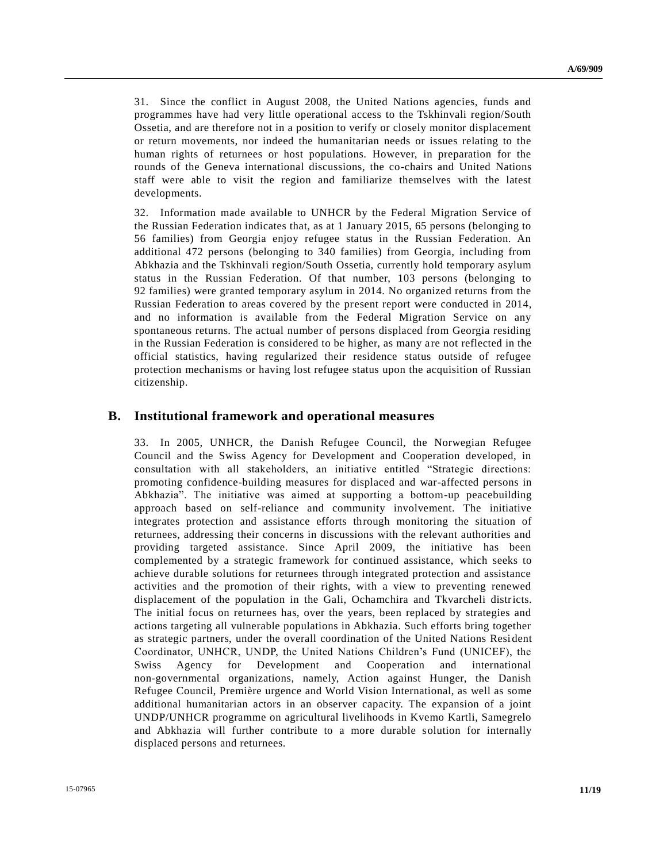31. Since the conflict in August 2008, the United Nations agencies, funds and programmes have had very little operational access to the Tskhinvali region/South Ossetia, and are therefore not in a position to verify or closely monitor displacement or return movements, nor indeed the humanitarian needs or issues relating to the human rights of returnees or host populations. However, in preparation for the rounds of the Geneva international discussions, the co-chairs and United Nations staff were able to visit the region and familiarize themselves with the latest developments.

32. Information made available to UNHCR by the Federal Migration Service of the Russian Federation indicates that, as at 1 January 2015, 65 persons (belonging to 56 families) from Georgia enjoy refugee status in the Russian Federation. An additional 472 persons (belonging to 340 families) from Georgia, including from Abkhazia and the Tskhinvali region/South Ossetia, currently hold temporary asylum status in the Russian Federation. Of that number, 103 persons (belonging to 92 families) were granted temporary asylum in 2014. No organized returns from the Russian Federation to areas covered by the present report were conducted in 2014, and no information is available from the Federal Migration Service on any spontaneous returns. The actual number of persons displaced from Georgia residing in the Russian Federation is considered to be higher, as many are not reflected in the official statistics, having regularized their residence status outside of refugee protection mechanisms or having lost refugee status upon the acquisition of Russian citizenship.

#### **B. Institutional framework and operational measures**

33. In 2005, UNHCR, the Danish Refugee Council, the Norwegian Refugee Council and the Swiss Agency for Development and Cooperation developed, in consultation with all stakeholders, an initiative entitled "Strategic directions: promoting confidence-building measures for displaced and war-affected persons in Abkhazia". The initiative was aimed at supporting a bottom-up peacebuilding approach based on self-reliance and community involvement. The initiative integrates protection and assistance efforts through monitoring the situation of returnees, addressing their concerns in discussions with the relevant authorities and providing targeted assistance. Since April 2009, the initiative has been complemented by a strategic framework for continued assistance, which seeks to achieve durable solutions for returnees through integrated protection and assistance activities and the promotion of their rights, with a view to preventing renewed displacement of the population in the Gali, Ochamchira and Tkvarcheli districts. The initial focus on returnees has, over the years, been replaced by strategies and actions targeting all vulnerable populations in Abkhazia. Such efforts bring together as strategic partners, under the overall coordination of the United Nations Resi dent Coordinator, UNHCR, UNDP, the United Nations Children's Fund (UNICEF), the Swiss Agency for Development and Cooperation and international non-governmental organizations, namely, Action against Hunger, the Danish Refugee Council, Première urgence and World Vision International, as well as some additional humanitarian actors in an observer capacity. The expansion of a joint UNDP/UNHCR programme on agricultural livelihoods in Kvemo Kartli, Samegrelo and Abkhazia will further contribute to a more durable solution for internally displaced persons and returnees.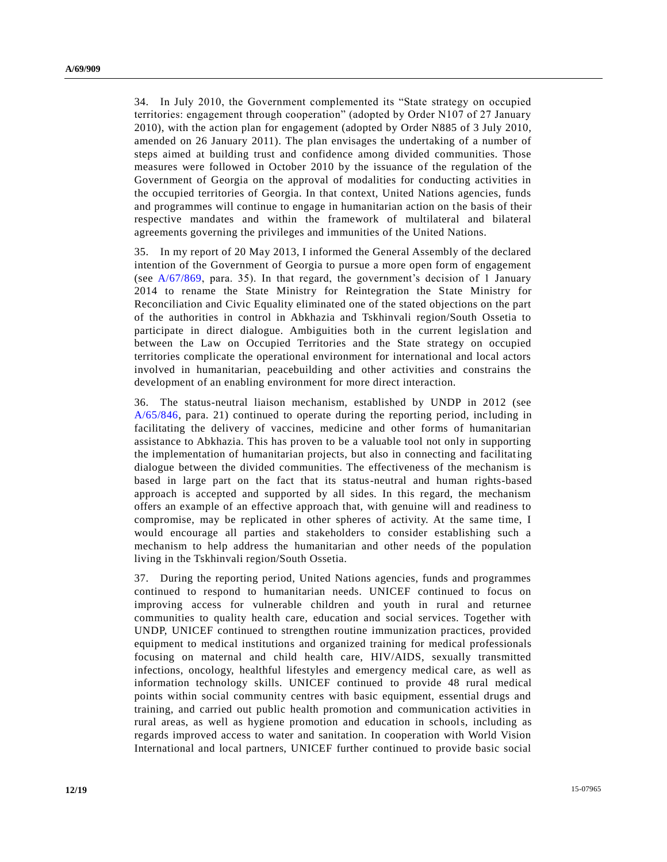34. In July 2010, the Government complemented its "State strategy on occupied territories: engagement through cooperation" (adopted by Order N107 of 27 January 2010), with the action plan for engagement (adopted by Order N885 of 3 July 2010, amended on 26 January 2011). The plan envisages the undertaking of a number of steps aimed at building trust and confidence among divided communities. Those measures were followed in October 2010 by the issuance of the regulation of the Government of Georgia on the approval of modalities for conducting activities in the occupied territories of Georgia. In that context, United Nations agencies, funds and programmes will continue to engage in humanitarian action on the basis of their respective mandates and within the framework of multilateral and bilateral agreements governing the privileges and immunities of the United Nations.

35. In my report of 20 May 2013, I informed the General Assembly of the declared intention of the Government of Georgia to pursue a more open form of engagement (see [A/67/869,](http://undocs.org/A/67/869) para. 35). In that regard, the government's decision of 1 January 2014 to rename the State Ministry for Reintegration the State Ministry for Reconciliation and Civic Equality eliminated one of the stated objections on the part of the authorities in control in Abkhazia and Tskhinvali region/South Ossetia to participate in direct dialogue. Ambiguities both in the current legislation and between the Law on Occupied Territories and the State strategy on occupied territories complicate the operational environment for international and local actors involved in humanitarian, peacebuilding and other activities and constrains the development of an enabling environment for more direct interaction.

36. The status-neutral liaison mechanism, established by UNDP in 2012 (see [A/65/846,](http://undocs.org/A/65/846) para. 21) continued to operate during the reporting period, inc luding in facilitating the delivery of vaccines, medicine and other forms of humanitarian assistance to Abkhazia. This has proven to be a valuable tool not only in supporting the implementation of humanitarian projects, but also in connecting and facilitating dialogue between the divided communities. The effectiveness of the mechanism is based in large part on the fact that its status-neutral and human rights-based approach is accepted and supported by all sides. In this regard, the mechanism offers an example of an effective approach that, with genuine will and readiness to compromise, may be replicated in other spheres of activity. At the same time, I would encourage all parties and stakeholders to consider establishing such a mechanism to help address the humanitarian and other needs of the population living in the Tskhinvali region/South Ossetia.

37. During the reporting period, United Nations agencies, funds and programmes continued to respond to humanitarian needs. UNICEF continued to focus on improving access for vulnerable children and youth in rural and returnee communities to quality health care, education and social services. Together with UNDP, UNICEF continued to strengthen routine immunization practices, provided equipment to medical institutions and organized training for medical professionals focusing on maternal and child health care, HIV/AIDS, sexually transmitted infections, oncology, healthful lifestyles and emergency medical care, as well as information technology skills. UNICEF continued to provide 48 rural medical points within social community centres with basic equipment, essential drugs and training, and carried out public health promotion and communication activities in rural areas, as well as hygiene promotion and education in schools, including as regards improved access to water and sanitation. In cooperation with World Vision International and local partners, UNICEF further continued to provide basic social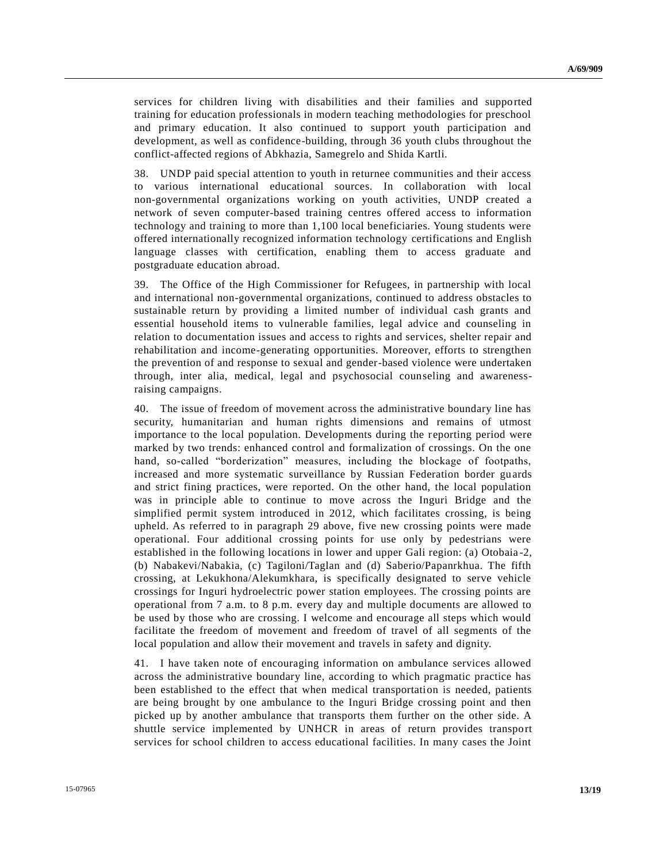services for children living with disabilities and their families and supported training for education professionals in modern teaching methodologies for preschool and primary education. It also continued to support youth participation and development, as well as confidence-building, through 36 youth clubs throughout the conflict-affected regions of Abkhazia, Samegrelo and Shida Kartli.

38. UNDP paid special attention to youth in returnee communities and their access to various international educational sources. In collaboration with local non-governmental organizations working on youth activities, UNDP created a network of seven computer-based training centres offered access to information technology and training to more than 1,100 local beneficiaries. Young students were offered internationally recognized information technology certifications and English language classes with certification, enabling them to access graduate and postgraduate education abroad.

39. The Office of the High Commissioner for Refugees, in partnership with local and international non-governmental organizations, continued to address obstacles to sustainable return by providing a limited number of individual cash grants and essential household items to vulnerable families, legal advice and counseling in relation to documentation issues and access to rights and services, shelter repair and rehabilitation and income-generating opportunities. Moreover, efforts to strengthen the prevention of and response to sexual and gender-based violence were undertaken through, inter alia, medical, legal and psychosocial counseling and awarenessraising campaigns.

40. The issue of freedom of movement across the administrative boundary line has security, humanitarian and human rights dimensions and remains of utmost importance to the local population. Developments during the reporting period were marked by two trends: enhanced control and formalization of crossings. On the one hand, so-called "borderization" measures, including the blockage of footpaths, increased and more systematic surveillance by Russian Federation border guards and strict fining practices, were reported. On the other hand, the local population was in principle able to continue to move across the Inguri Bridge and the simplified permit system introduced in 2012, which facilitates crossing, is being upheld. As referred to in paragraph 29 above, five new crossing points were made operational. Four additional crossing points for use only by pedestrians were established in the following locations in lower and upper Gali region: (a) Otobaia -2, (b) Nabakevi/Nabakia, (c) Tagiloni/Taglan and (d) Saberio/Papanrkhua. The fifth crossing, at Lekukhona/Alekumkhara, is specifically designated to serve vehicle crossings for Inguri hydroelectric power station employees. The crossing points are operational from 7 a.m. to 8 p.m. every day and multiple documents are allowed to be used by those who are crossing. I welcome and encourage all steps which would facilitate the freedom of movement and freedom of travel of all segments of the local population and allow their movement and travels in safety and dignity.

41. I have taken note of encouraging information on ambulance services allowed across the administrative boundary line, according to which pragmatic practice has been established to the effect that when medical transportation is needed, patients are being brought by one ambulance to the Inguri Bridge crossing point and then picked up by another ambulance that transports them further on the other side. A shuttle service implemented by UNHCR in areas of return provides transport services for school children to access educational facilities. In many cases the Joint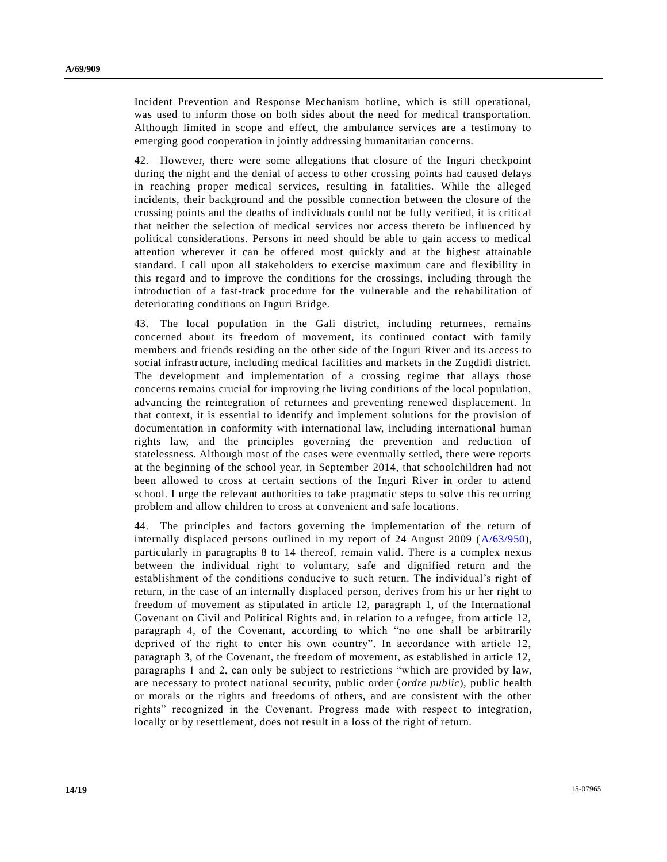Incident Prevention and Response Mechanism hotline, which is still operational, was used to inform those on both sides about the need for medical transportation. Although limited in scope and effect, the ambulance services are a testimony to emerging good cooperation in jointly addressing humanitarian concerns.

42. However, there were some allegations that closure of the Inguri checkpoint during the night and the denial of access to other crossing points had caused delays in reaching proper medical services, resulting in fatalities. While the alleged incidents, their background and the possible connection between the closure of the crossing points and the deaths of individuals could not be fully verified, it is critical that neither the selection of medical services nor access thereto be influenced by political considerations. Persons in need should be able to gain access to medical attention wherever it can be offered most quickly and at the highest attainable standard. I call upon all stakeholders to exercise maximum care and flexibility in this regard and to improve the conditions for the crossings, including through the introduction of a fast-track procedure for the vulnerable and the rehabilitation of deteriorating conditions on Inguri Bridge.

43. The local population in the Gali district, including returnees, remains concerned about its freedom of movement, its continued contact with family members and friends residing on the other side of the Inguri River and its access to social infrastructure, including medical facilities and markets in the Zugdidi district. The development and implementation of a crossing regime that allays those concerns remains crucial for improving the living conditions of the local population, advancing the reintegration of returnees and preventing renewed displacement. In that context, it is essential to identify and implement solutions for the provision of documentation in conformity with international law, including international human rights law, and the principles governing the prevention and reduction of statelessness. Although most of the cases were eventually settled, there were reports at the beginning of the school year, in September 2014, that schoolchildren had not been allowed to cross at certain sections of the Inguri River in order to attend school. I urge the relevant authorities to take pragmatic steps to solve this recurring problem and allow children to cross at convenient and safe locations.

44. The principles and factors governing the implementation of the return of internally displaced persons outlined in my report of 24 August 2009 [\(A/63/950\)](http://undocs.org/A/63/950), particularly in paragraphs 8 to 14 thereof, remain valid. There is a complex nexus between the individual right to voluntary, safe and dignified return and the establishment of the conditions conducive to such return. The individual's right of return, in the case of an internally displaced person, derives from his or her right to freedom of movement as stipulated in article 12, paragraph 1, of the International Covenant on Civil and Political Rights and, in relation to a refugee, from article 12, paragraph 4, of the Covenant, according to which "no one shall be arbitrarily deprived of the right to enter his own country". In accordance with article 12, paragraph 3, of the Covenant, the freedom of movement, as established in article 12, paragraphs 1 and 2, can only be subject to restrictions "which are provided by law, are necessary to protect national security, public order (*ordre public*), public health or morals or the rights and freedoms of others, and are consistent with the other rights" recognized in the Covenant. Progress made with respect to integration, locally or by resettlement, does not result in a loss of the right of return.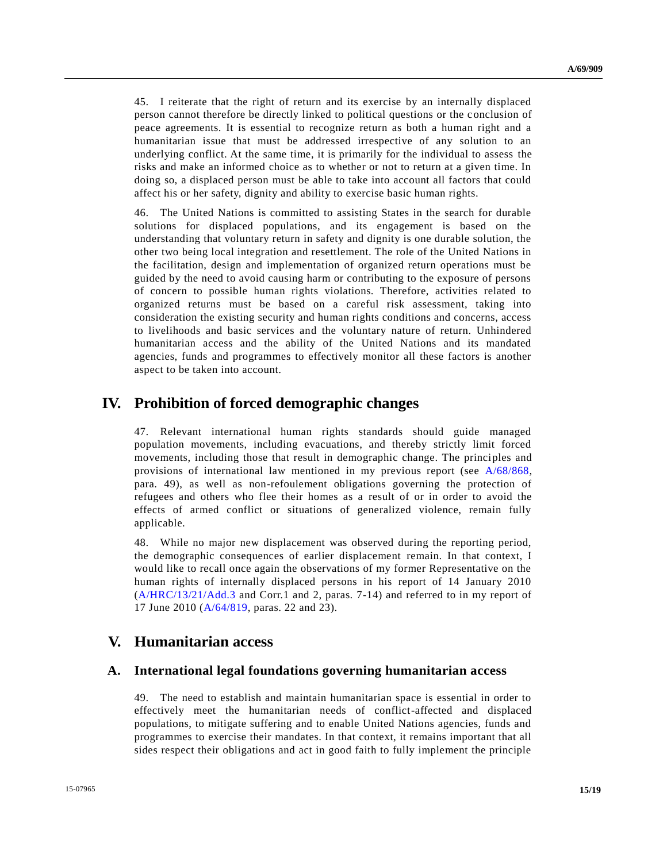45. I reiterate that the right of return and its exercise by an internally displaced person cannot therefore be directly linked to political questions or the c onclusion of peace agreements. It is essential to recognize return as both a human right and a humanitarian issue that must be addressed irrespective of any solution to an underlying conflict. At the same time, it is primarily for the individual to assess the risks and make an informed choice as to whether or not to return at a given time. In doing so, a displaced person must be able to take into account all factors that could affect his or her safety, dignity and ability to exercise basic human rights.

46. The United Nations is committed to assisting States in the search for durable solutions for displaced populations, and its engagement is based on the understanding that voluntary return in safety and dignity is one durable solution, the other two being local integration and resettlement. The role of the United Nations in the facilitation, design and implementation of organized return operations must be guided by the need to avoid causing harm or contributing to the exposure of persons of concern to possible human rights violations. Therefore, activities related to organized returns must be based on a careful risk assessment, taking into consideration the existing security and human rights conditions and concerns, access to livelihoods and basic services and the voluntary nature of return. Unhindered humanitarian access and the ability of the United Nations and its mandated agencies, funds and programmes to effectively monitor all these factors is another aspect to be taken into account.

## **IV. Prohibition of forced demographic changes**

47. Relevant international human rights standards should guide managed population movements, including evacuations, and thereby strictly limit forced movements, including those that result in demographic change. The principles and provisions of international law mentioned in my previous report (see [A/68/868,](http://undocs.org/A/68/868) para. 49), as well as non-refoulement obligations governing the protection of refugees and others who flee their homes as a result of or in order to avoid the effects of armed conflict or situations of generalized violence, remain fully applicable.

48. While no major new displacement was observed during the reporting period, the demographic consequences of earlier displacement remain. In that context, I would like to recall once again the observations of my former Representative on the human rights of internally displaced persons in his report of 14 January 2010 [\(A/HRC/13/21/Add.3](http://undocs.org/A/HRC/13/21/Add.3) and Corr.1 and 2, paras. 7-14) and referred to in my report of 17 June 2010 [\(A/64/819,](http://undocs.org/A/64/819) paras. 22 and 23).

### **V. Humanitarian access**

#### **A. International legal foundations governing humanitarian access**

49. The need to establish and maintain humanitarian space is essential in order to effectively meet the humanitarian needs of conflict-affected and displaced populations, to mitigate suffering and to enable United Nations agencies, funds and programmes to exercise their mandates. In that context, it remains important that all sides respect their obligations and act in good faith to fully implement the principle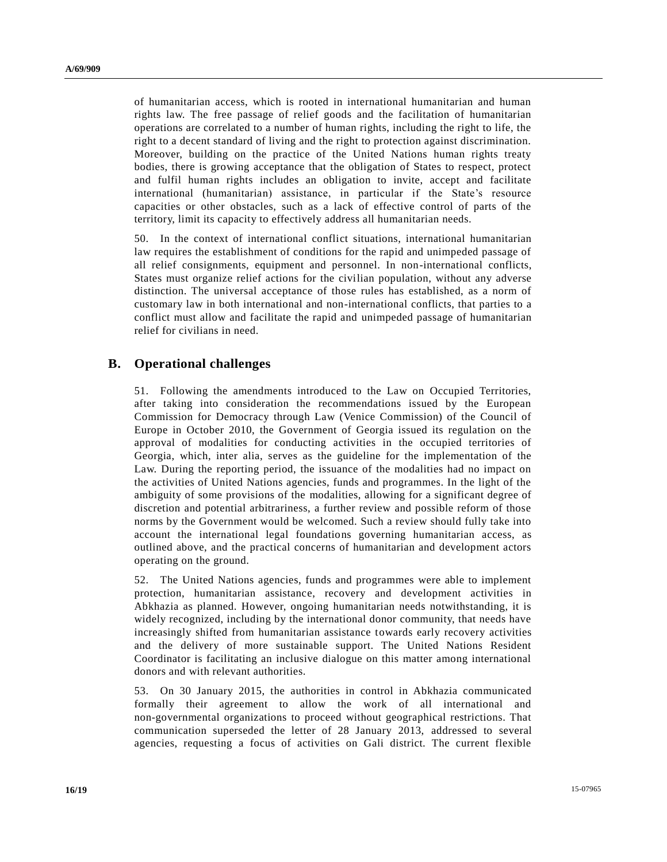of humanitarian access, which is rooted in international humanitarian and human rights law. The free passage of relief goods and the facilitation of humanitarian operations are correlated to a number of human rights, including the right to life, the right to a decent standard of living and the right to protection against discrimination. Moreover, building on the practice of the United Nations human rights treaty bodies, there is growing acceptance that the obligation of States to respect, protect and fulfil human rights includes an obligation to invite, accept and facilitate international (humanitarian) assistance, in particular if the State's resource capacities or other obstacles, such as a lack of effective control of parts of the territory, limit its capacity to effectively address all humanitarian needs.

50. In the context of international conflict situations, international humanitarian law requires the establishment of conditions for the rapid and unimpeded passage of all relief consignments, equipment and personnel. In non-international conflicts, States must organize relief actions for the civilian population, without any adverse distinction. The universal acceptance of those rules has established, as a norm of customary law in both international and non-international conflicts, that parties to a conflict must allow and facilitate the rapid and unimpeded passage of humanitarian relief for civilians in need.

### **B. Operational challenges**

51. Following the amendments introduced to the Law on Occupied Territories, after taking into consideration the recommendations issued by the European Commission for Democracy through Law (Venice Commission) of the Council of Europe in October 2010, the Government of Georgia issued its regulation on the approval of modalities for conducting activities in the occupied territories of Georgia, which, inter alia, serves as the guideline for the implementation of the Law. During the reporting period, the issuance of the modalities had no impact on the activities of United Nations agencies, funds and programmes. In the light of the ambiguity of some provisions of the modalities, allowing for a significant degree of discretion and potential arbitrariness, a further review and possible reform of those norms by the Government would be welcomed. Such a review should fully take into account the international legal foundations governing humanitarian access, as outlined above, and the practical concerns of humanitarian and development actors operating on the ground.

52. The United Nations agencies, funds and programmes were able to implement protection, humanitarian assistance, recovery and development activities in Abkhazia as planned. However, ongoing humanitarian needs notwithstanding, it is widely recognized, including by the international donor community, that needs have increasingly shifted from humanitarian assistance towards early recovery activities and the delivery of more sustainable support. The United Nations Resident Coordinator is facilitating an inclusive dialogue on this matter among international donors and with relevant authorities.

53. On 30 January 2015, the authorities in control in Abkhazia communicated formally their agreement to allow the work of all international and non-governmental organizations to proceed without geographical restrictions. That communication superseded the letter of 28 January 2013, addressed to several agencies, requesting a focus of activities on Gali district. The current flexible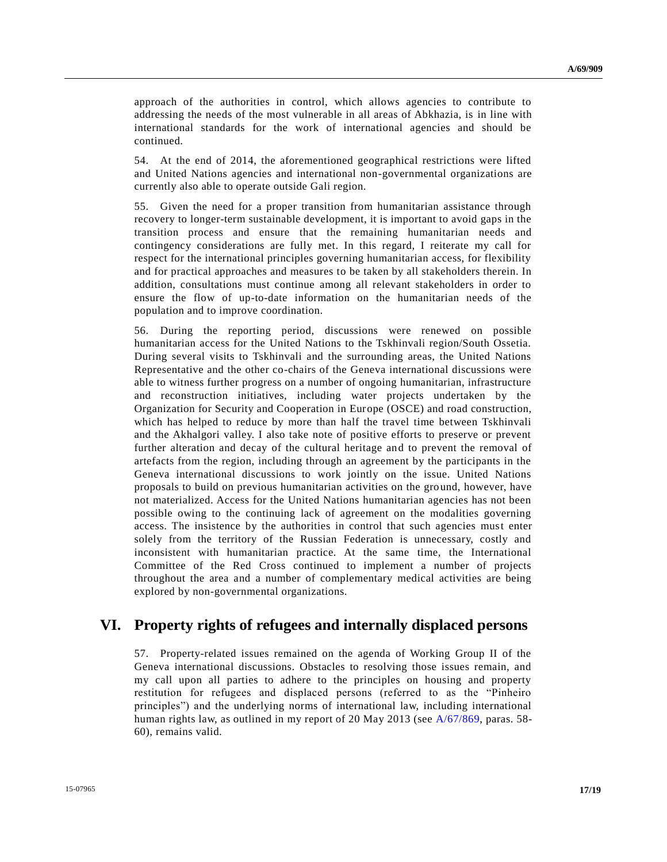approach of the authorities in control, which allows agencies to contribute to addressing the needs of the most vulnerable in all areas of Abkhazia, is in line with international standards for the work of international agencies and should be continued.

54. At the end of 2014, the aforementioned geographical restrictions were lifted and United Nations agencies and international non-governmental organizations are currently also able to operate outside Gali region.

55. Given the need for a proper transition from humanitarian assistance through recovery to longer-term sustainable development, it is important to avoid gaps in the transition process and ensure that the remaining humanitarian needs and contingency considerations are fully met. In this regard, I reiterate my call for respect for the international principles governing humanitarian access, for flexibility and for practical approaches and measures to be taken by all stakeholders therein. In addition, consultations must continue among all relevant stakeholders in order to ensure the flow of up-to-date information on the humanitarian needs of the population and to improve coordination.

56. During the reporting period, discussions were renewed on possible humanitarian access for the United Nations to the Tskhinvali region/South Ossetia. During several visits to Tskhinvali and the surrounding areas, the United Nations Representative and the other co-chairs of the Geneva international discussions were able to witness further progress on a number of ongoing humanitarian, infrastructure and reconstruction initiatives, including water projects undertaken by the Organization for Security and Cooperation in Europe (OSCE) and road construction, which has helped to reduce by more than half the travel time between Tskhinvali and the Akhalgori valley. I also take note of positive efforts to preserve or prevent further alteration and decay of the cultural heritage and to prevent the removal of artefacts from the region, including through an agreement by the participants in the Geneva international discussions to work jointly on the issue. United Nations proposals to build on previous humanitarian activities on the ground, however, have not materialized. Access for the United Nations humanitarian agencies has not been possible owing to the continuing lack of agreement on the modalities governing access. The insistence by the authorities in control that such agencies must enter solely from the territory of the Russian Federation is unnecessary, costly and inconsistent with humanitarian practice. At the same time, the International Committee of the Red Cross continued to implement a number of projects throughout the area and a number of complementary medical activities are being explored by non-governmental organizations.

## **VI. Property rights of refugees and internally displaced persons**

57. Property-related issues remained on the agenda of Working Group II of the Geneva international discussions. Obstacles to resolving those issues remain, and my call upon all parties to adhere to the principles on housing and property restitution for refugees and displaced persons (referred to as the "Pinheiro principles") and the underlying norms of international law, including international human rights law, as outlined in my report of 20 May 2013 (see [A/67/869,](http://undocs.org/A/67/869) paras. 58- 60), remains valid.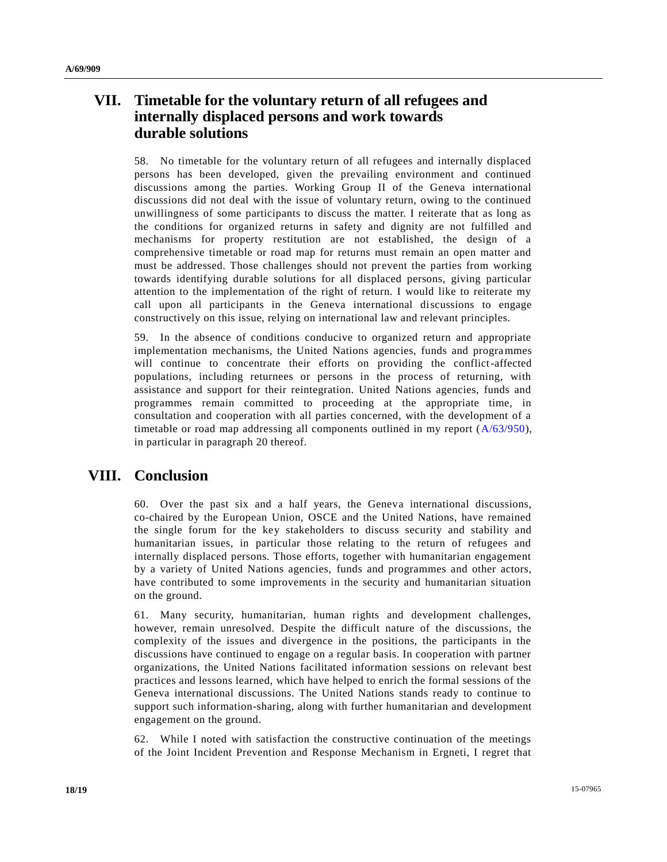# **VII. Timetable for the voluntary return of all refugees and internally displaced persons and work towards durable solutions**

58. No timetable for the voluntary return of all refugees and internally displaced persons has been developed, given the prevailing environment and continued discussions among the parties. Working Group II of the Geneva international discussions did not deal with the issue of voluntary return, owing to the continued unwillingness of some participants to discuss the matter. I reiterate that as long as the conditions for organized returns in safety and dignity are not fulfilled and mechanisms for property restitution are not established, the design of a comprehensive timetable or road map for returns must remain an open matter and must be addressed. Those challenges should not prevent the parties from working towards identifying durable solutions for all displaced persons, giving particular attention to the implementation of the right of return. I would like to reiterate my call upon all participants in the Geneva international discussions to engage constructively on this issue, relying on international law and relevant principles.

59. In the absence of conditions conducive to organized return and appropriate implementation mechanisms, the United Nations agencies, funds and programmes will continue to concentrate their efforts on providing the conflict-affected populations, including returnees or persons in the process of returning, with assistance and support for their reintegration. United Nations agencies, funds and programmes remain committed to proceeding at the appropriate time, in consultation and cooperation with all parties concerned, with the development of a timetable or road map addressing all components outlined in my report [\(A/63/950\)](http://undocs.org/A/63/950), in particular in paragraph 20 thereof.

# **VIII. Conclusion**

60. Over the past six and a half years, the Geneva international discussions, co-chaired by the European Union, OSCE and the United Nations, have remained the single forum for the key stakeholders to discuss security and stability and humanitarian issues, in particular those relating to the return of refugees and internally displaced persons. Those efforts, together with humanitarian engagement by a variety of United Nations agencies, funds and programmes and other actors, have contributed to some improvements in the security and humanitarian situation on the ground.

61. Many security, humanitarian, human rights and development challenges, however, remain unresolved. Despite the difficult nature of the discussions, the complexity of the issues and divergence in the positions, the participants in the discussions have continued to engage on a regular basis. In cooperation with partner organizations, the United Nations facilitated information sessions on relevant best practices and lessons learned, which have helped to enrich the formal sessions of the Geneva international discussions. The United Nations stands ready to continue to support such information-sharing, along with further humanitarian and development engagement on the ground.

62. While I noted with satisfaction the constructive continuation of the meetings of the Joint Incident Prevention and Response Mechanism in Ergneti, I regret that